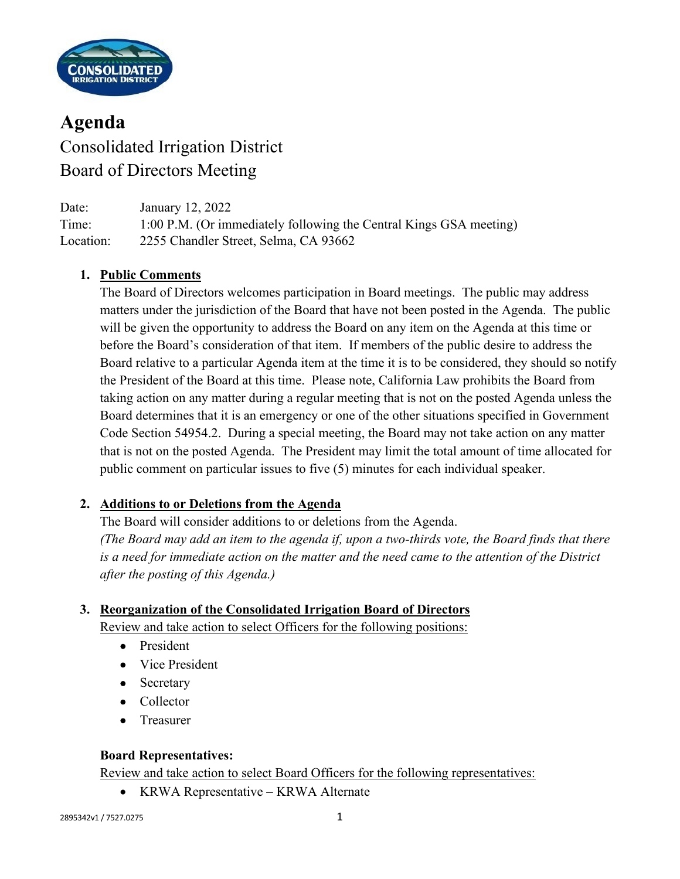

# **Agenda** Consolidated Irrigation District Board of Directors Meeting

| Date:     | January 12, 2022                                                   |
|-----------|--------------------------------------------------------------------|
| Time:     | 1:00 P.M. (Or immediately following the Central Kings GSA meeting) |
| Location: | 2255 Chandler Street, Selma, CA 93662                              |

## **1. Public Comments**

The Board of Directors welcomes participation in Board meetings. The public may address matters under the jurisdiction of the Board that have not been posted in the Agenda. The public will be given the opportunity to address the Board on any item on the Agenda at this time or before the Board's consideration of that item. If members of the public desire to address the Board relative to a particular Agenda item at the time it is to be considered, they should so notify the President of the Board at this time. Please note, California Law prohibits the Board from taking action on any matter during a regular meeting that is not on the posted Agenda unless the Board determines that it is an emergency or one of the other situations specified in Government Code Section 54954.2. During a special meeting, the Board may not take action on any matter that is not on the posted Agenda. The President may limit the total amount of time allocated for public comment on particular issues to five (5) minutes for each individual speaker.

#### **2. Additions to or Deletions from the Agenda**

The Board will consider additions to or deletions from the Agenda. *(The Board may add an item to the agenda if, upon a two-thirds vote, the Board finds that there is a need for immediate action on the matter and the need came to the attention of the District after the posting of this Agenda.)*

# **3. Reorganization of the Consolidated Irrigation Board of Directors**

Review and take action to select Officers for the following positions:

- President
- Vice President
- Secretary
- Collector
- Treasurer

#### **Board Representatives:**

Review and take action to select Board Officers for the following representatives:

• KRWA Representative – KRWA Alternate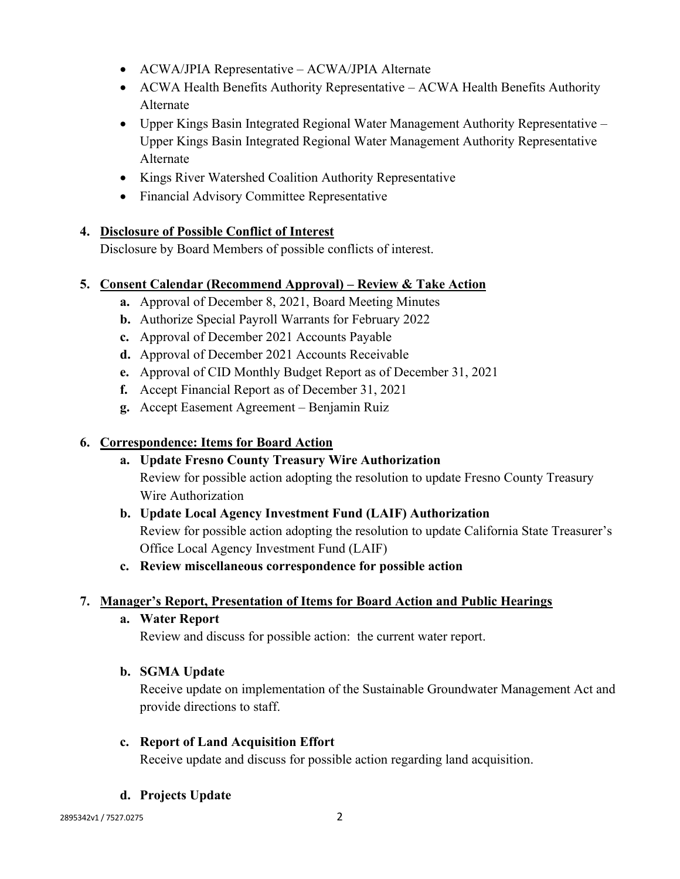- ACWA/JPIA Representative ACWA/JPIA Alternate
- ACWA Health Benefits Authority Representative ACWA Health Benefits Authority Alternate
- Upper Kings Basin Integrated Regional Water Management Authority Representative Upper Kings Basin Integrated Regional Water Management Authority Representative Alternate
- Kings River Watershed Coalition Authority Representative
- Financial Advisory Committee Representative

#### **4. Disclosure of Possible Conflict of Interest**

Disclosure by Board Members of possible conflicts of interest.

#### **5. Consent Calendar (Recommend Approval) – Review & Take Action**

- **a.** Approval of December 8, 2021, Board Meeting Minutes
- **b.** Authorize Special Payroll Warrants for February 2022
- **c.** Approval of December 2021 Accounts Payable
- **d.** Approval of December 2021 Accounts Receivable
- **e.** Approval of CID Monthly Budget Report as of December 31, 2021
- **f.** Accept Financial Report as of December 31, 2021
- **g.** Accept Easement Agreement Benjamin Ruiz

### **6. Correspondence: Items for Board Action**

## **a. Update Fresno County Treasury Wire Authorization** Review for possible action adopting the resolution to update Fresno County Treasury Wire Authorization

## **b. Update Local Agency Investment Fund (LAIF) Authorization** Review for possible action adopting the resolution to update California State Treasurer's Office Local Agency Investment Fund (LAIF)

#### **c. Review miscellaneous correspondence for possible action**

## **7. Manager's Report, Presentation of Items for Board Action and Public Hearings**

**a. Water Report**

Review and discuss for possible action: the current water report.

#### **b. SGMA Update**

Receive update on implementation of the Sustainable Groundwater Management Act and provide directions to staff.

#### **c. Report of Land Acquisition Effort**

Receive update and discuss for possible action regarding land acquisition.

#### **d. Projects Update**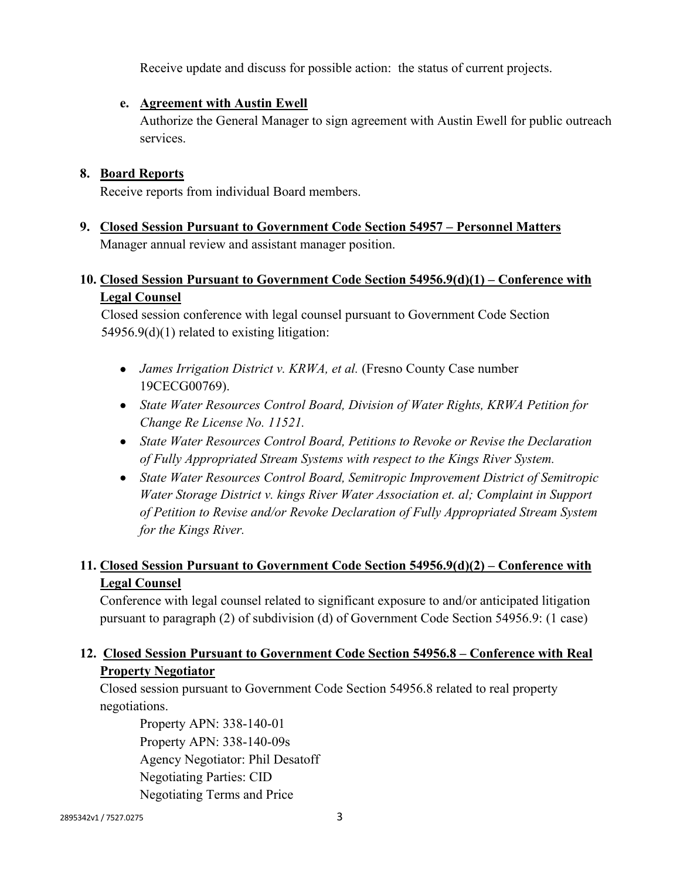Receive update and discuss for possible action: the status of current projects.

#### **e. Agreement with Austin Ewell**

Authorize the General Manager to sign agreement with Austin Ewell for public outreach services.

### **8. Board Reports**

Receive reports from individual Board members.

**9. Closed Session Pursuant to Government Code Section 54957 – Personnel Matters** Manager annual review and assistant manager position.

## **10. Closed Session Pursuant to Government Code Section 54956.9(d)(1) – Conference with Legal Counsel**

Closed session conference with legal counsel pursuant to Government Code Section 54956.9(d)(1) related to existing litigation:

- *James Irrigation District v. KRWA, et al.* (Fresno County Case number 19CECG00769).
- *State Water Resources Control Board, Division of Water Rights, KRWA Petition for Change Re License No. 11521.*
- *State Water Resources Control Board, Petitions to Revoke or Revise the Declaration of Fully Appropriated Stream Systems with respect to the Kings River System.*
- *State Water Resources Control Board, Semitropic Improvement District of Semitropic Water Storage District v. kings River Water Association et. al; Complaint in Support of Petition to Revise and/or Revoke Declaration of Fully Appropriated Stream System for the Kings River.*

## **11. Closed Session Pursuant to Government Code Section 54956.9(d)(2) – Conference with Legal Counsel**

Conference with legal counsel related to significant exposure to and/or anticipated litigation pursuant to paragraph (2) of subdivision (d) of Government Code Section 54956.9: (1 case)

## **12. Closed Session Pursuant to Government Code Section 54956.8 – Conference with Real Property Negotiator**

Closed session pursuant to Government Code Section 54956.8 related to real property negotiations.

Property APN: 338-140-01 Property APN: 338-140-09s Agency Negotiator: Phil Desatoff Negotiating Parties: CID Negotiating Terms and Price